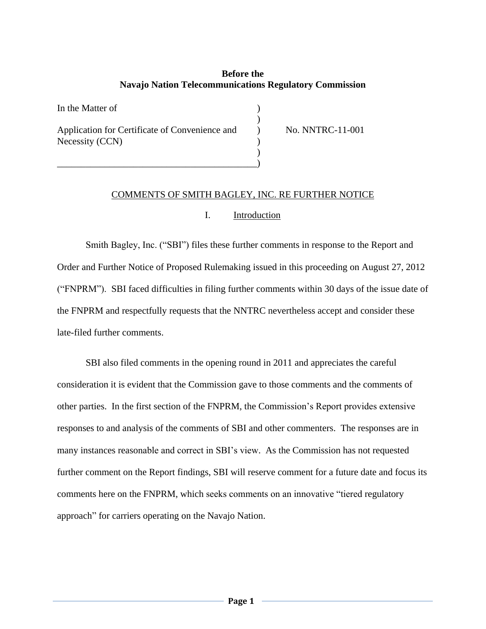# **Before the Navajo Nation Telecommunications Regulatory Commission**

 $\lambda$ 

)

In the Matter of  $\qquad \qquad$  ) Application for Certificate of Convenience and  $\qquad \qquad$  No. NNTRC-11-001 Necessity (CCN) )

\_\_\_\_\_\_\_\_\_\_\_\_\_\_\_\_\_\_\_\_\_\_\_\_\_\_\_\_\_\_\_\_\_\_\_\_\_\_\_\_\_\_)

# COMMENTS OF SMITH BAGLEY, INC. RE FURTHER NOTICE

#### I. Introduction

Smith Bagley, Inc. ("SBI") files these further comments in response to the Report and Order and Further Notice of Proposed Rulemaking issued in this proceeding on August 27, 2012 ("FNPRM"). SBI faced difficulties in filing further comments within 30 days of the issue date of the FNPRM and respectfully requests that the NNTRC nevertheless accept and consider these late-filed further comments.

SBI also filed comments in the opening round in 2011 and appreciates the careful consideration it is evident that the Commission gave to those comments and the comments of other parties. In the first section of the FNPRM, the Commission's Report provides extensive responses to and analysis of the comments of SBI and other commenters. The responses are in many instances reasonable and correct in SBI's view. As the Commission has not requested further comment on the Report findings, SBI will reserve comment for a future date and focus its comments here on the FNPRM, which seeks comments on an innovative "tiered regulatory approach" for carriers operating on the Navajo Nation.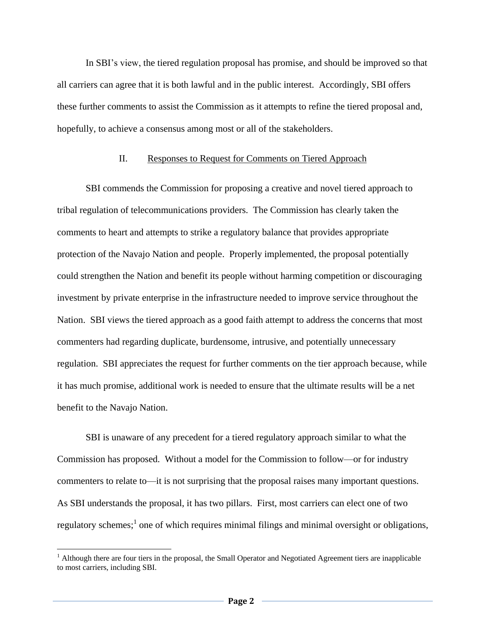In SBI's view, the tiered regulation proposal has promise, and should be improved so that all carriers can agree that it is both lawful and in the public interest. Accordingly, SBI offers these further comments to assist the Commission as it attempts to refine the tiered proposal and, hopefully, to achieve a consensus among most or all of the stakeholders.

### II. Responses to Request for Comments on Tiered Approach

SBI commends the Commission for proposing a creative and novel tiered approach to tribal regulation of telecommunications providers. The Commission has clearly taken the comments to heart and attempts to strike a regulatory balance that provides appropriate protection of the Navajo Nation and people. Properly implemented, the proposal potentially could strengthen the Nation and benefit its people without harming competition or discouraging investment by private enterprise in the infrastructure needed to improve service throughout the Nation. SBI views the tiered approach as a good faith attempt to address the concerns that most commenters had regarding duplicate, burdensome, intrusive, and potentially unnecessary regulation. SBI appreciates the request for further comments on the tier approach because, while it has much promise, additional work is needed to ensure that the ultimate results will be a net benefit to the Navajo Nation.

SBI is unaware of any precedent for a tiered regulatory approach similar to what the Commission has proposed. Without a model for the Commission to follow—or for industry commenters to relate to—it is not surprising that the proposal raises many important questions. As SBI understands the proposal, it has two pillars. First, most carriers can elect one of two regulatory schemes;<sup>1</sup> one of which requires minimal filings and minimal oversight or obligations,

 $\overline{a}$ 

<sup>&</sup>lt;sup>1</sup> Although there are four tiers in the proposal, the Small Operator and Negotiated Agreement tiers are inapplicable to most carriers, including SBI.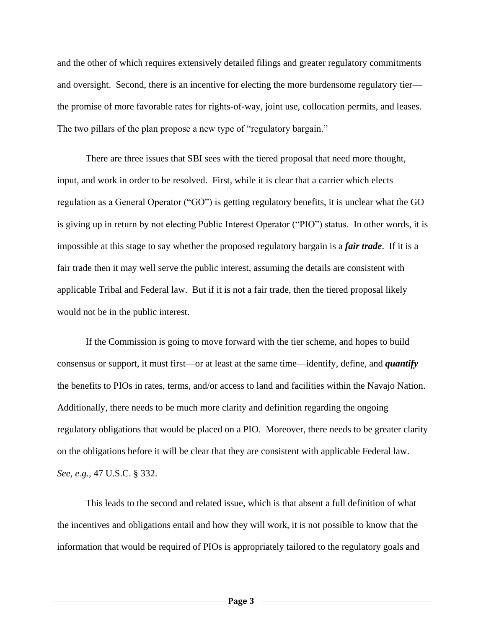and the other of which requires extensively detailed filings and greater regulatory commitments and oversight. Second, there is an incentive for electing the more burdensome regulatory tier the promise of more favorable rates for rights-of-way, joint use, collocation permits, and leases. The two pillars of the plan propose a new type of "regulatory bargain."

There are three issues that SBI sees with the tiered proposal that need more thought, input, and work in order to be resolved. First, while it is clear that a carrier which elects regulation as a General Operator ("GO") is getting regulatory benefits, it is unclear what the GO is giving up in return by not electing Public Interest Operator ("PIO") status. In other words, it is impossible at this stage to say whether the proposed regulatory bargain is a *fair trade*. If it is a fair trade then it may well serve the public interest, assuming the details are consistent with applicable Tribal and Federal law. But if it is not a fair trade, then the tiered proposal likely would not be in the public interest.

If the Commission is going to move forward with the tier scheme, and hopes to build consensus or support, it must first—or at least at the same time—identify, define, and *quantify* the benefits to PIOs in rates, terms, and/or access to land and facilities within the Navajo Nation. Additionally, there needs to be much more clarity and definition regarding the ongoing regulatory obligations that would be placed on a PIO. Moreover, there needs to be greater clarity on the obligations before it will be clear that they are consistent with applicable Federal law. *See, e.g.,* 47 U.S.C. § 332.

This leads to the second and related issue, which is that absent a full definition of what the incentives and obligations entail and how they will work, it is not possible to know that the information that would be required of PIOs is appropriately tailored to the regulatory goals and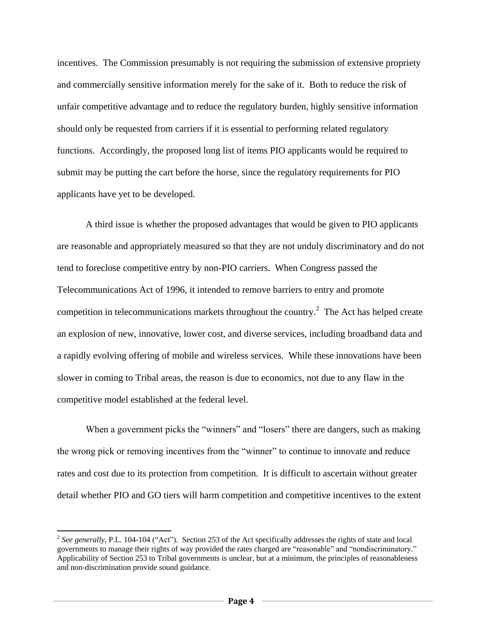incentives. The Commission presumably is not requiring the submission of extensive propriety and commercially sensitive information merely for the sake of it. Both to reduce the risk of unfair competitive advantage and to reduce the regulatory burden, highly sensitive information should only be requested from carriers if it is essential to performing related regulatory functions. Accordingly, the proposed long list of items PIO applicants would be required to submit may be putting the cart before the horse, since the regulatory requirements for PIO applicants have yet to be developed.

A third issue is whether the proposed advantages that would be given to PIO applicants are reasonable and appropriately measured so that they are not unduly discriminatory and do not tend to foreclose competitive entry by non-PIO carriers. When Congress passed the Telecommunications Act of 1996, it intended to remove barriers to entry and promote competition in telecommunications markets throughout the country.<sup>2</sup> The Act has helped create an explosion of new, innovative, lower cost, and diverse services, including broadband data and a rapidly evolving offering of mobile and wireless services. While these innovations have been slower in coming to Tribal areas, the reason is due to economics, not due to any flaw in the competitive model established at the federal level.

When a government picks the "winners" and "losers" there are dangers, such as making the wrong pick or removing incentives from the "winner" to continue to innovate and reduce rates and cost due to its protection from competition. It is difficult to ascertain without greater detail whether PIO and GO tiers will harm competition and competitive incentives to the extent

 $\overline{a}$ 

<sup>&</sup>lt;sup>2</sup> See generally, P.L. 104-104 ("Act"). Section 253 of the Act specifically addresses the rights of state and local governments to manage their rights of way provided the rates charged are "reasonable" and "nondiscriminatory." Applicability of Section 253 to Tribal governments is unclear, but at a minimum, the principles of reasonableness and non-discrimination provide sound guidance.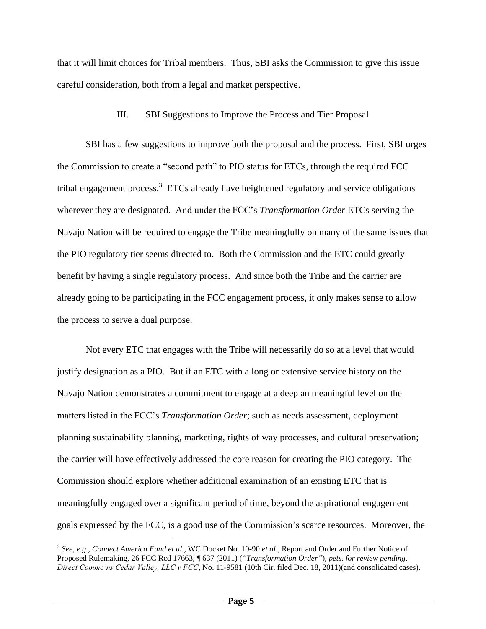that it will limit choices for Tribal members. Thus, SBI asks the Commission to give this issue careful consideration, both from a legal and market perspective.

#### III. SBI Suggestions to Improve the Process and Tier Proposal

SBI has a few suggestions to improve both the proposal and the process. First, SBI urges the Commission to create a "second path" to PIO status for ETCs, through the required FCC tribal engagement process.<sup>3</sup> ETCs already have heightened regulatory and service obligations wherever they are designated. And under the FCC's *Transformation Order* ETCs serving the Navajo Nation will be required to engage the Tribe meaningfully on many of the same issues that the PIO regulatory tier seems directed to. Both the Commission and the ETC could greatly benefit by having a single regulatory process. And since both the Tribe and the carrier are already going to be participating in the FCC engagement process, it only makes sense to allow the process to serve a dual purpose.

Not every ETC that engages with the Tribe will necessarily do so at a level that would justify designation as a PIO. But if an ETC with a long or extensive service history on the Navajo Nation demonstrates a commitment to engage at a deep an meaningful level on the matters listed in the FCC's *Transformation Order*; such as needs assessment, deployment planning sustainability planning, marketing, rights of way processes, and cultural preservation; the carrier will have effectively addressed the core reason for creating the PIO category. The Commission should explore whether additional examination of an existing ETC that is meaningfully engaged over a significant period of time, beyond the aspirational engagement goals expressed by the FCC, is a good use of the Commission's scarce resources. Moreover, the

 $\overline{a}$ 

<sup>3</sup> *See*, *e.g.*, *Connect America Fund et al.,* WC Docket No. 10-90 *et al*., Report and Order and Further Notice of Proposed Rulemaking, 26 FCC Rcd 17663, ¶ 637 (2011) (*"Transformation Order"*), *pets. for review pending, Direct Commc'ns Cedar Valley, LLC v FCC*, No. 11-9581 (10th Cir. filed Dec. 18, 2011)(and consolidated cases).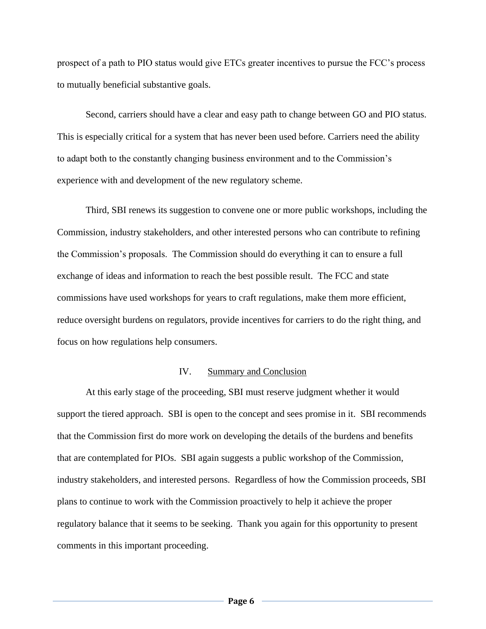prospect of a path to PIO status would give ETCs greater incentives to pursue the FCC's process to mutually beneficial substantive goals.

Second, carriers should have a clear and easy path to change between GO and PIO status. This is especially critical for a system that has never been used before. Carriers need the ability to adapt both to the constantly changing business environment and to the Commission's experience with and development of the new regulatory scheme.

Third, SBI renews its suggestion to convene one or more public workshops, including the Commission, industry stakeholders, and other interested persons who can contribute to refining the Commission's proposals. The Commission should do everything it can to ensure a full exchange of ideas and information to reach the best possible result. The FCC and state commissions have used workshops for years to craft regulations, make them more efficient, reduce oversight burdens on regulators, provide incentives for carriers to do the right thing, and focus on how regulations help consumers.

# IV. Summary and Conclusion

At this early stage of the proceeding, SBI must reserve judgment whether it would support the tiered approach. SBI is open to the concept and sees promise in it. SBI recommends that the Commission first do more work on developing the details of the burdens and benefits that are contemplated for PIOs. SBI again suggests a public workshop of the Commission, industry stakeholders, and interested persons. Regardless of how the Commission proceeds, SBI plans to continue to work with the Commission proactively to help it achieve the proper regulatory balance that it seems to be seeking. Thank you again for this opportunity to present comments in this important proceeding.